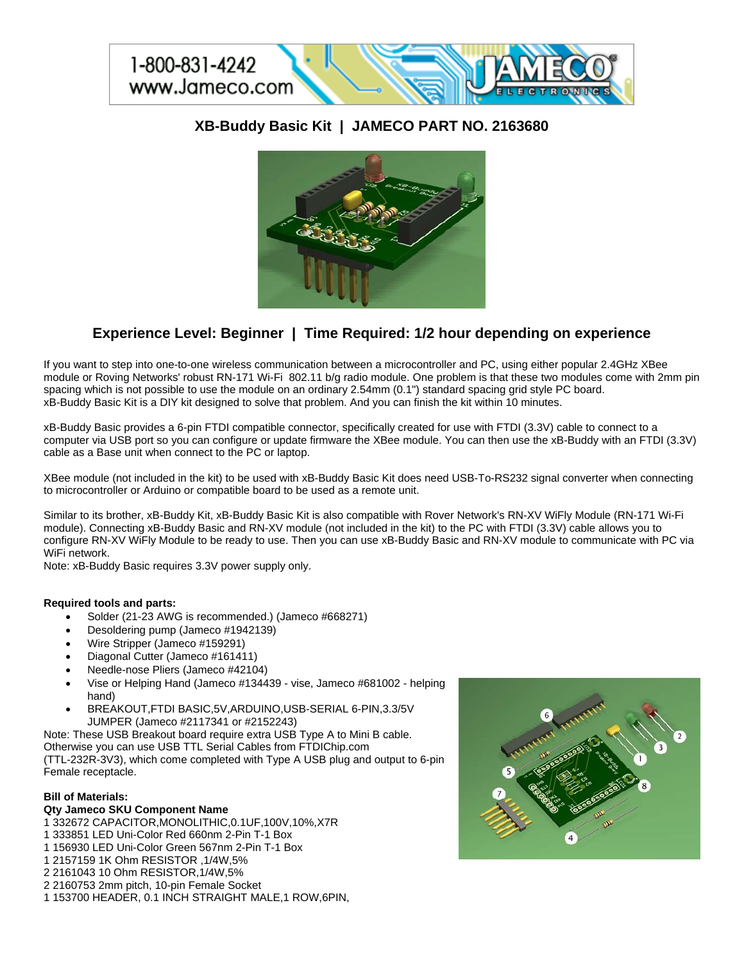

# **XB-Buddy Basic Kit | JAMECO PART NO. 2163680**



# **Experience Level: Beginner | Time Required: 1/2 hour depending on experience**

If you want to step into one-to-one wireless communication between a microcontroller and PC, using either popular 2.4GHz XBee module or Roving Networks' robust RN-171 Wi-Fi 802.11 b/g radio module. One problem is that these two modules come with 2mm pin spacing which is not possible to use the module on an ordinary 2.54mm (0.1") standard spacing grid style PC board. xB-Buddy Basic Kit is a DIY kit designed to solve that problem. And you can finish the kit within 10 minutes.

xB-Buddy Basic provides a 6-pin FTDI compatible connector, specifically created for use with FTDI (3.3V) cable to connect to a computer via USB port so you can configure or update firmware the XBee module. You can then use the xB-Buddy with an FTDI (3.3V) cable as a Base unit when connect to the PC or laptop.

XBee module (not included in the kit) to be used with xB-Buddy Basic Kit does need USB-To-RS232 signal converter when connecting to microcontroller or Arduino or compatible board to be used as a remote unit.

Similar to its brother, xB-Buddy Kit, xB-Buddy Basic Kit is also compatible with Rover Network's RN-XV WiFly Module (RN-171 Wi-Fi module). Connecting xB-Buddy Basic and RN-XV module (not included in the kit) to the PC with FTDI (3.3V) cable allows you to configure RN-XV WiFly Module to be ready to use. Then you can use xB-Buddy Basic and RN-XV module to communicate with PC via WiFi network.

Note: xB-Buddy Basic requires 3.3V power supply only.

## **Required tools and parts:**

- Solder (21-23 AWG is recommended.) (Jameco #668271)
- Desoldering pump (Jameco #1942139)
- Wire Stripper (Jameco #159291)
- Diagonal Cutter (Jameco #161411)
- Needle-nose Pliers (Jameco #42104)
- Vise or Helping Hand (Jameco #134439 vise, Jameco #681002 helping hand)
- BREAKOUT,FTDI BASIC,5V,ARDUINO,USB-SERIAL 6-PIN,3.3/5V JUMPER (Jameco #2117341 or #2152243)

Note: These USB Breakout board require extra USB Type A to Mini B cable. Otherwise you can use USB TTL Serial Cables from FTDIChip.com (TTL-232R-3V3), which come completed with Type A USB plug and output to 6-pin Female receptacle.

## **Bill of Materials:**

## **Qty Jameco SKU Component Name**

1 332672 CAPACITOR,MONOLITHIC,0.1UF,100V,10%,X7R

1 333851 LED Uni-Color Red 660nm 2-Pin T-1 Box

- 1 156930 LED Uni-Color Green 567nm 2-Pin T-1 Box
- 1 2157159 1K Ohm RESISTOR ,1/4W,5%
- 2 2161043 10 Ohm RESISTOR,1/4W,5%
- 2 2160753 2mm pitch, 10-pin Female Socket
- 1 153700 HEADER, 0.1 INCH STRAIGHT MALE,1 ROW,6PIN,

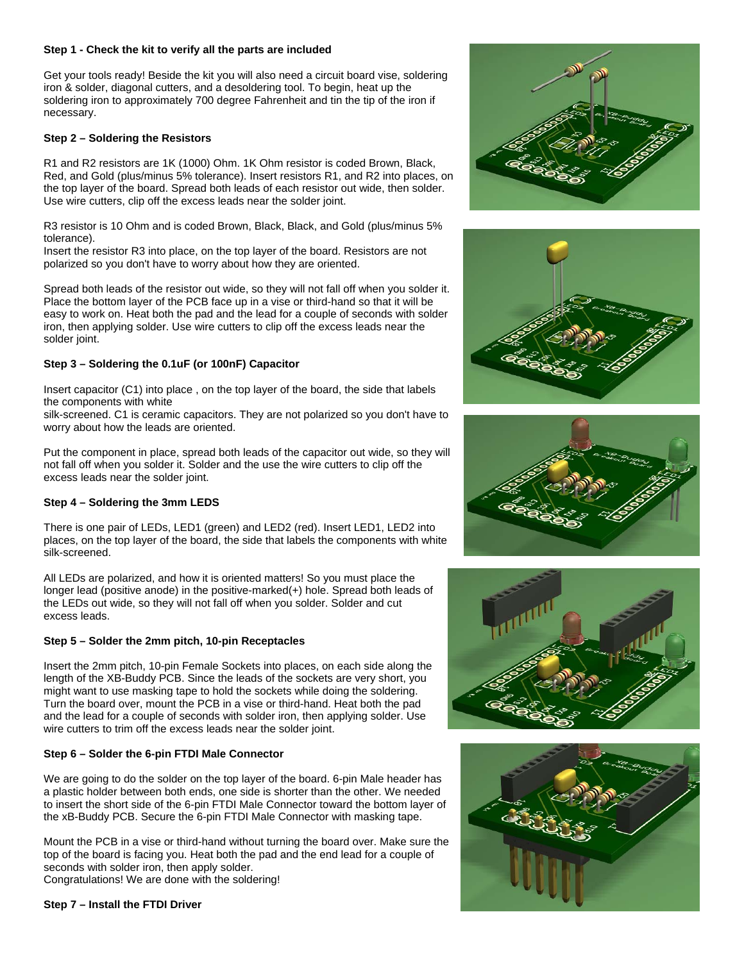#### **Step 1 - Check the kit to verify all the parts are included**

Get your tools ready! Beside the kit you will also need a circuit board vise, soldering iron & solder, diagonal cutters, and a desoldering tool. To begin, heat up the soldering iron to approximately 700 degree Fahrenheit and tin the tip of the iron if necessary.

#### **Step 2 – Soldering the Resistors**

R1 and R2 resistors are 1K (1000) Ohm. 1K Ohm resistor is coded Brown, Black, Red, and Gold (plus/minus 5% tolerance). Insert resistors R1, and R2 into places, on the top layer of the board. Spread both leads of each resistor out wide, then solder. Use wire cutters, clip off the excess leads near the solder joint.

R3 resistor is 10 Ohm and is coded Brown, Black, Black, and Gold (plus/minus 5% tolerance).

Insert the resistor R3 into place, on the top layer of the board. Resistors are not polarized so you don't have to worry about how they are oriented.

Spread both leads of the resistor out wide, so they will not fall off when you solder it. Place the bottom layer of the PCB face up in a vise or third-hand so that it will be easy to work on. Heat both the pad and the lead for a couple of seconds with solder iron, then applying solder. Use wire cutters to clip off the excess leads near the solder joint.

#### **Step 3 – Soldering the 0.1uF (or 100nF) Capacitor**

Insert capacitor (C1) into place , on the top layer of the board, the side that labels the components with white

silk-screened. C1 is ceramic capacitors. They are not polarized so you don't have to worry about how the leads are oriented.

Put the component in place, spread both leads of the capacitor out wide, so they will not fall off when you solder it. Solder and the use the wire cutters to clip off the excess leads near the solder joint.

#### **Step 4 – Soldering the 3mm LEDS**

There is one pair of LEDs, LED1 (green) and LED2 (red). Insert LED1, LED2 into places, on the top layer of the board, the side that labels the components with white silk-screened.

All LEDs are polarized, and how it is oriented matters! So you must place the longer lead (positive anode) in the positive-marked(+) hole. Spread both leads of the LEDs out wide, so they will not fall off when you solder. Solder and cut excess leads.

## **Step 5 – Solder the 2mm pitch, 10-pin Receptacles**

Insert the 2mm pitch, 10-pin Female Sockets into places, on each side along the length of the XB-Buddy PCB. Since the leads of the sockets are very short, you might want to use masking tape to hold the sockets while doing the soldering. Turn the board over, mount the PCB in a vise or third-hand. Heat both the pad and the lead for a couple of seconds with solder iron, then applying solder. Use wire cutters to trim off the excess leads near the solder joint.

### **Step 6 – Solder the 6-pin FTDI Male Connector**

We are going to do the solder on the top layer of the board. 6-pin Male header has a plastic holder between both ends, one side is shorter than the other. We needed to insert the short side of the 6-pin FTDI Male Connector toward the bottom layer of the xB-Buddy PCB. Secure the 6-pin FTDI Male Connector with masking tape.

Mount the PCB in a vise or third-hand without turning the board over. Make sure the top of the board is facing you. Heat both the pad and the end lead for a couple of seconds with solder iron, then apply solder. Congratulations! We are done with the soldering!

**Step 7 – Install the FTDI Driver** 









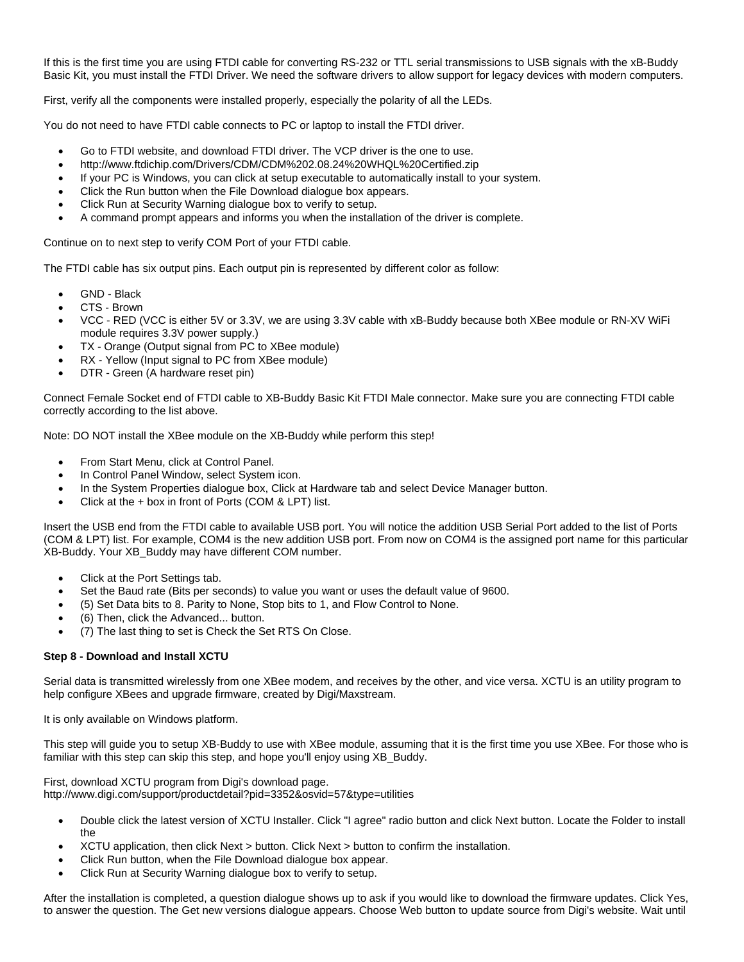If this is the first time you are using FTDI cable for converting RS-232 or TTL serial transmissions to USB signals with the xB-Buddy Basic Kit, you must install the FTDI Driver. We need the software drivers to allow support for legacy devices with modern computers.

First, verify all the components were installed properly, especially the polarity of all the LEDs.

You do not need to have FTDI cable connects to PC or laptop to install the FTDI driver.

- Go to FTDI website, and download FTDI driver. The VCP driver is the one to use.
- http://www.ftdichip.com/Drivers/CDM/CDM%202.08.24%20WHQL%20Certified.zip
- If your PC is Windows, you can click at setup executable to automatically install to your system.
- Click the Run button when the File Download dialogue box appears.
- Click Run at Security Warning dialogue box to verify to setup.
- A command prompt appears and informs you when the installation of the driver is complete.

Continue on to next step to verify COM Port of your FTDI cable.

The FTDI cable has six output pins. Each output pin is represented by different color as follow:

- GND Black
- CTS Brown
- VCC RED (VCC is either 5V or 3.3V, we are using 3.3V cable with xB-Buddy because both XBee module or RN-XV WiFi module requires 3.3V power supply.)
- TX Orange (Output signal from PC to XBee module)
- RX Yellow (Input signal to PC from XBee module)
- DTR Green (A hardware reset pin)

Connect Female Socket end of FTDI cable to XB-Buddy Basic Kit FTDI Male connector. Make sure you are connecting FTDI cable correctly according to the list above.

Note: DO NOT install the XBee module on the XB-Buddy while perform this step!

- From Start Menu, click at Control Panel.
- In Control Panel Window, select System icon.
- In the System Properties dialogue box, Click at Hardware tab and select Device Manager button.
- Click at the + box in front of Ports (COM & LPT) list.

Insert the USB end from the FTDI cable to available USB port. You will notice the addition USB Serial Port added to the list of Ports (COM & LPT) list. For example, COM4 is the new addition USB port. From now on COM4 is the assigned port name for this particular XB-Buddy. Your XB\_Buddy may have different COM number.

- Click at the Port Settings tab.
- Set the Baud rate (Bits per seconds) to value you want or uses the default value of 9600.
- (5) Set Data bits to 8. Parity to None, Stop bits to 1, and Flow Control to None.
- (6) Then, click the Advanced... button.
- (7) The last thing to set is Check the Set RTS On Close.

## **Step 8 - Download and Install XCTU**

Serial data is transmitted wirelessly from one XBee modem, and receives by the other, and vice versa. XCTU is an utility program to help configure XBees and upgrade firmware, created by Digi/Maxstream.

It is only available on Windows platform.

This step will guide you to setup XB-Buddy to use with XBee module, assuming that it is the first time you use XBee. For those who is familiar with this step can skip this step, and hope you'll enjoy using XB\_Buddy.

First, download XCTU program from Digi's download page. http://www.digi.com/support/productdetail?pid=3352&osvid=57&type=utilities

- Double click the latest version of XCTU Installer. Click "I agree" radio button and click Next button. Locate the Folder to install the
- XCTU application, then click Next > button. Click Next > button to confirm the installation.
- Click Run button, when the File Download dialogue box appear.
- Click Run at Security Warning dialogue box to verify to setup.

After the installation is completed, a question dialogue shows up to ask if you would like to download the firmware updates. Click Yes, to answer the question. The Get new versions dialogue appears. Choose Web button to update source from Digi's website. Wait until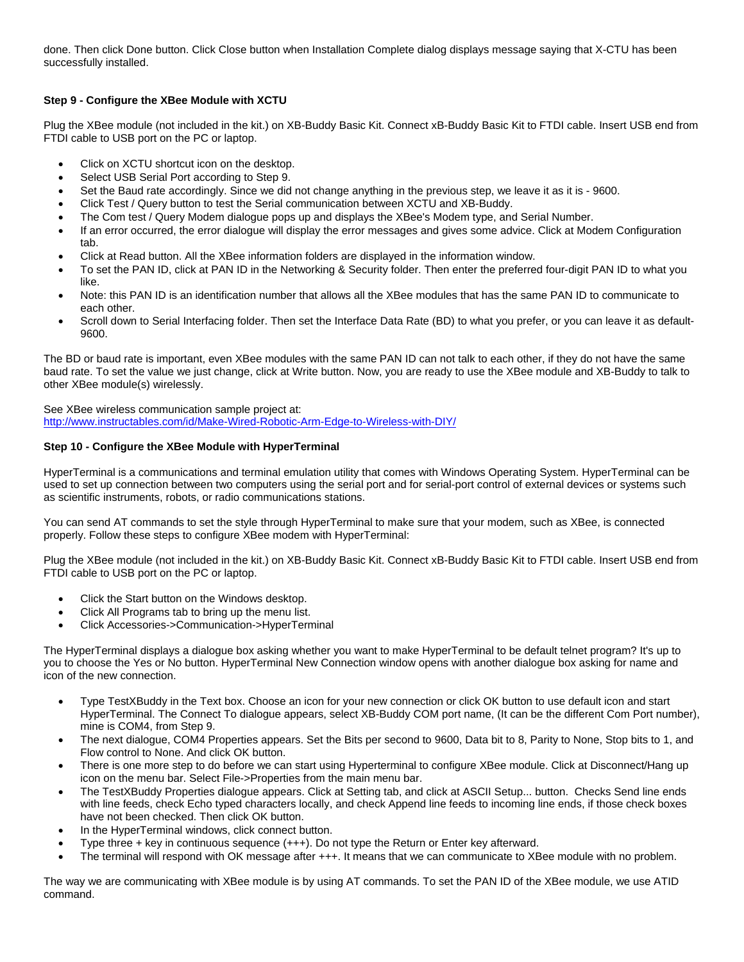done. Then click Done button. Click Close button when Installation Complete dialog displays message saying that X-CTU has been successfully installed.

## **Step 9 - Configure the XBee Module with XCTU**

Plug the XBee module (not included in the kit.) on XB-Buddy Basic Kit. Connect xB-Buddy Basic Kit to FTDI cable. Insert USB end from FTDI cable to USB port on the PC or laptop.

- Click on XCTU shortcut icon on the desktop.
- Select USB Serial Port according to Step 9.
- Set the Baud rate accordingly. Since we did not change anything in the previous step, we leave it as it is 9600.
- Click Test / Query button to test the Serial communication between XCTU and XB-Buddy.
- The Com test / Query Modem dialogue pops up and displays the XBee's Modem type, and Serial Number.
- If an error occurred, the error dialogue will display the error messages and gives some advice. Click at Modem Configuration tab.
- Click at Read button. All the XBee information folders are displayed in the information window.
- To set the PAN ID, click at PAN ID in the Networking & Security folder. Then enter the preferred four-digit PAN ID to what you like.
- Note: this PAN ID is an identification number that allows all the XBee modules that has the same PAN ID to communicate to each other.
- Scroll down to Serial Interfacing folder. Then set the Interface Data Rate (BD) to what you prefer, or you can leave it as default-9600.

The BD or baud rate is important, even XBee modules with the same PAN ID can not talk to each other, if they do not have the same baud rate. To set the value we just change, click at Write button. Now, you are ready to use the XBee module and XB-Buddy to talk to other XBee module(s) wirelessly.

See XBee wireless communication sample project at: <http://www.instructables.com/id/Make-Wired-Robotic-Arm-Edge-to-Wireless-with-DIY/>

# **Step 10 - Configure the XBee Module with HyperTerminal**

HyperTerminal is a communications and terminal emulation utility that comes with Windows Operating System. HyperTerminal can be used to set up connection between two computers using the serial port and for serial-port control of external devices or systems such as scientific instruments, robots, or radio communications stations.

You can send AT commands to set the style through HyperTerminal to make sure that your modem, such as XBee, is connected properly. Follow these steps to configure XBee modem with HyperTerminal:

Plug the XBee module (not included in the kit.) on XB-Buddy Basic Kit. Connect xB-Buddy Basic Kit to FTDI cable. Insert USB end from FTDI cable to USB port on the PC or laptop.

- Click the Start button on the Windows desktop.
- Click All Programs tab to bring up the menu list.
- Click Accessories->Communication->HyperTerminal

The HyperTerminal displays a dialogue box asking whether you want to make HyperTerminal to be default telnet program? It's up to you to choose the Yes or No button. HyperTerminal New Connection window opens with another dialogue box asking for name and icon of the new connection.

- Type TestXBuddy in the Text box. Choose an icon for your new connection or click OK button to use default icon and start HyperTerminal. The Connect To dialogue appears, select XB-Buddy COM port name, (It can be the different Com Port number), mine is COM4, from Step 9.
- The next dialogue, COM4 Properties appears. Set the Bits per second to 9600, Data bit to 8, Parity to None, Stop bits to 1, and Flow control to None. And click OK button.
- There is one more step to do before we can start using Hyperterminal to configure XBee module. Click at Disconnect/Hang up icon on the menu bar. Select File->Properties from the main menu bar.
- The TestXBuddy Properties dialogue appears. Click at Setting tab, and click at ASCII Setup... button. Checks Send line ends with line feeds, check Echo typed characters locally, and check Append line feeds to incoming line ends, if those check boxes have not been checked. Then click OK button.
- In the HyperTerminal windows, click connect button.
- Type three + key in continuous sequence (+++). Do not type the Return or Enter key afterward.
- The terminal will respond with OK message after +++. It means that we can communicate to XBee module with no problem.

The way we are communicating with XBee module is by using AT commands. To set the PAN ID of the XBee module, we use ATID command.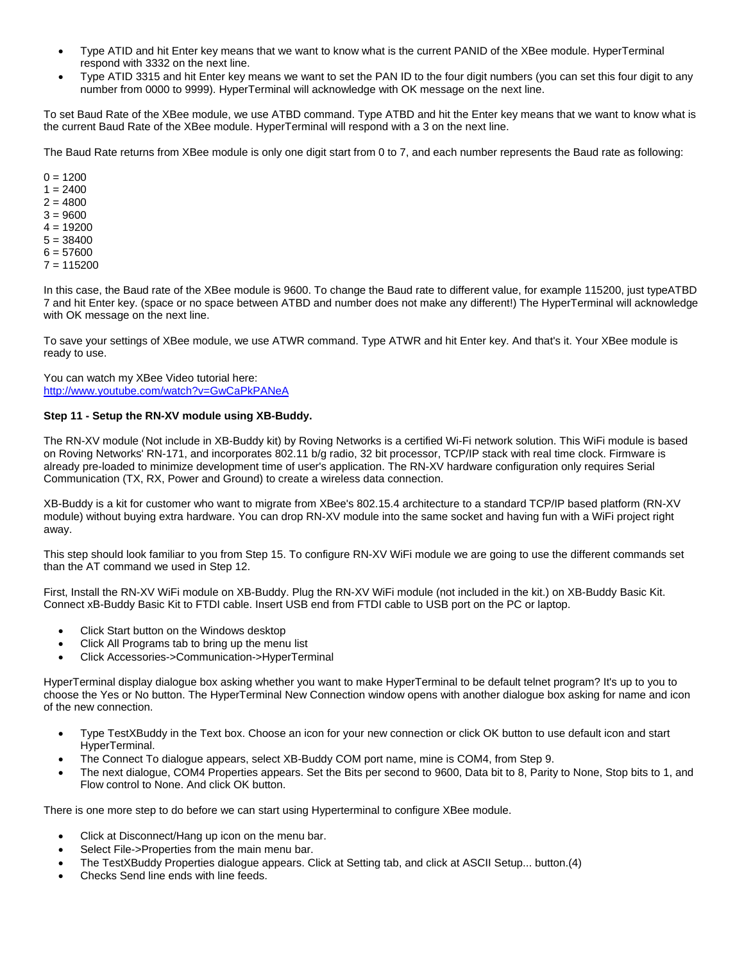- Type ATID and hit Enter key means that we want to know what is the current PANID of the XBee module. HyperTerminal respond with 3332 on the next line.
- Type ATID 3315 and hit Enter key means we want to set the PAN ID to the four digit numbers (you can set this four digit to any number from 0000 to 9999). HyperTerminal will acknowledge with OK message on the next line.

To set Baud Rate of the XBee module, we use ATBD command. Type ATBD and hit the Enter key means that we want to know what is the current Baud Rate of the XBee module. HyperTerminal will respond with a 3 on the next line.

The Baud Rate returns from XBee module is only one digit start from 0 to 7, and each number represents the Baud rate as following:

In this case, the Baud rate of the XBee module is 9600. To change the Baud rate to different value, for example 115200, just typeATBD 7 and hit Enter key. (space or no space between ATBD and number does not make any different!) The HyperTerminal will acknowledge with OK message on the next line.

To save your settings of XBee module, we use ATWR command. Type ATWR and hit Enter key. And that's it. Your XBee module is ready to use.

You can watch my XBee Video tutorial here: <http://www.youtube.com/watch?v=GwCaPkPANeA>

#### **Step 11 - Setup the RN-XV module using XB-Buddy.**

The RN-XV module (Not include in XB-Buddy kit) by Roving Networks is a certified Wi-Fi network solution. This WiFi module is based on Roving Networks' RN-171, and incorporates 802.11 b/g radio, 32 bit processor, TCP/IP stack with real time clock. Firmware is already pre-loaded to minimize development time of user's application. The RN-XV hardware configuration only requires Serial Communication (TX, RX, Power and Ground) to create a wireless data connection.

XB-Buddy is a kit for customer who want to migrate from XBee's 802.15.4 architecture to a standard TCP/IP based platform (RN-XV module) without buying extra hardware. You can drop RN-XV module into the same socket and having fun with a WiFi project right away.

This step should look familiar to you from Step 15. To configure RN-XV WiFi module we are going to use the different commands set than the AT command we used in Step 12.

First, Install the RN-XV WiFi module on XB-Buddy. Plug the RN-XV WiFi module (not included in the kit.) on XB-Buddy Basic Kit. Connect xB-Buddy Basic Kit to FTDI cable. Insert USB end from FTDI cable to USB port on the PC or laptop.

- Click Start button on the Windows desktop
- Click All Programs tab to bring up the menu list
- Click Accessories->Communication->HyperTerminal

HyperTerminal display dialogue box asking whether you want to make HyperTerminal to be default telnet program? It's up to you to choose the Yes or No button. The HyperTerminal New Connection window opens with another dialogue box asking for name and icon of the new connection.

- Type TestXBuddy in the Text box. Choose an icon for your new connection or click OK button to use default icon and start HyperTerminal.
- The Connect To dialogue appears, select XB-Buddy COM port name, mine is COM4, from Step 9.
- The next dialogue, COM4 Properties appears. Set the Bits per second to 9600, Data bit to 8, Parity to None, Stop bits to 1, and Flow control to None. And click OK button.

There is one more step to do before we can start using Hyperterminal to configure XBee module.

- Click at Disconnect/Hang up icon on the menu bar.
- Select File->Properties from the main menu bar.
- The TestXBuddy Properties dialogue appears. Click at Setting tab, and click at ASCII Setup... button.(4)
- Checks Send line ends with line feeds.